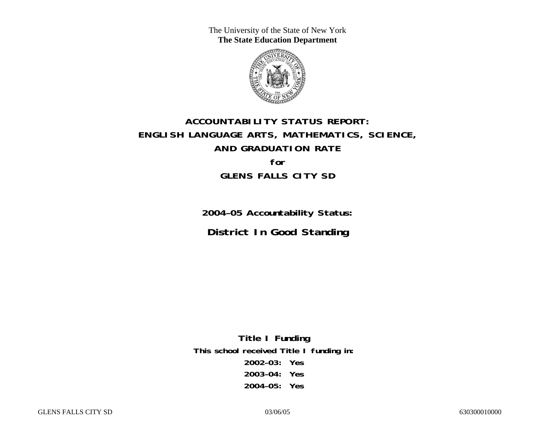The University of the State of New York **The State Education Department** 



# **ACCOUNTABILITY STATUS REPORT: ENGLISH LANGUAGE ARTS, MATHEMATICS, SCIENCE, AND GRADUATION RATE for GLENS FALLS CITY SD**

**2004–05 Accountability Status: District In Good Standing** 

**Title I Funding This school received Title I funding in: 2002–03: Yes 2003–04: Yes 2004–05: Yes**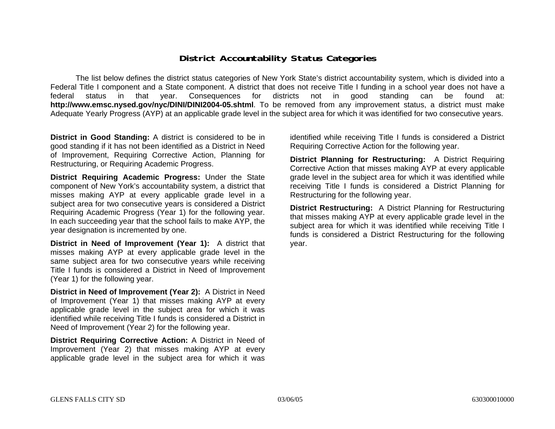### **District Accountability Status Categories**

The list below defines the district status categories of New York State's district accountability system, which is divided into a Federal Title I component and a State component. A district that does not receive Title I funding in a school year does not have a federal status in that year. Consequences for districts not in good standing can be found at: **http://www.emsc.nysed.gov/nyc/DINI/DINI2004-05.shtml**. To be removed from any improvement status, a district must make Adequate Yearly Progress (AYP) at an applicable grade level in the subject area for which it was identified for two consecutive years.

**District in Good Standing:** A district is considered to be in good standing if it has not been identified as a District in Need of Improvement, Requiring Corrective Action, Planning for Restructuring, or Requiring Academic Progress.

**District Requiring Academic Progress:** Under the State component of New York's accountability system, a district that misses making AYP at every applicable grade level in a subject area for two consecutive years is considered a District Requiring Academic Progress (Year 1) for the following year. In each succeeding year that the school fails to make AYP, the year designation is incremented by one.

**District in Need of Improvement (Year 1):** A district that misses making AYP at every applicable grade level in the same subject area for two consecutive years while receiving Title I funds is considered a District in Need of Improvement (Year 1) for the following year.

**District in Need of Improvement (Year 2):** A District in Need of Improvement (Year 1) that misses making AYP at every applicable grade level in the subject area for which it was identified while receiving Title I funds is considered a District in Need of Improvement (Year 2) for the following year.

**District Requiring Corrective Action:** A District in Need of Improvement (Year 2) that misses making AYP at every applicable grade level in the subject area for which it was

identified while receiving Title I funds is considered a District Requiring Corrective Action for the following year.

**District Planning for Restructuring:** A District Requiring Corrective Action that misses making AYP at every applicable grade level in the subject area for which it was identified while receiving Title I funds is considered a District Planning for Restructuring for the following year.

**District Restructuring:** A District Planning for Restructuring that misses making AYP at every applicable grade level in the subject area for which it was identified while receiving Title I funds is considered a District Restructuring for the following year.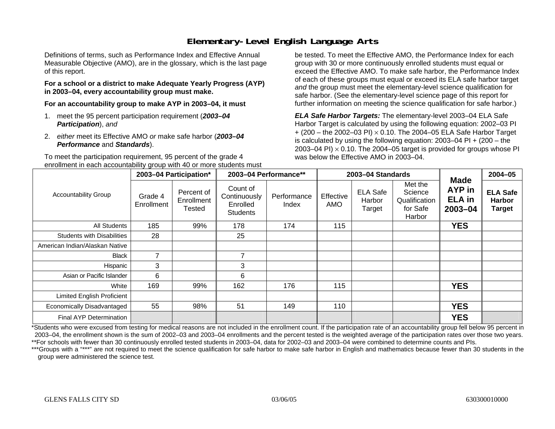## **Elementary-Level English Language Arts**

Definitions of terms, such as Performance Index and Effective Annual Measurable Objective (AMO), are in the glossary, which is the last page of this report.

#### **For a school or a district to make Adequate Yearly Progress (AYP) in 2003–04, every accountability group must make.**

**For an accountability group to make AYP in 2003–04, it must** 

- 1. meet the 95 percent participation requirement (*2003–04 Participation*), *and*
- 2. *either* meet its Effective AMO *or* make safe harbor (*2003–04 Performance* and *Standards*).

To meet the participation requirement, 95 percent of the grade 4 enrollment in each accountability group with 40 or more students must

be tested. To meet the Effective AMO, the Performance Index for each group with 30 or more continuously enrolled students must equal or exceed the Effective AMO. To make safe harbor, the Performance Index of each of these groups must equal or exceed its ELA safe harbor target *and* the group must meet the elementary-level science qualification for safe harbor. (See the elementary-level science page of this report for further information on meeting the science qualification for safe harbor.)

*ELA Safe Harbor Targets:* The elementary-level 2003–04 ELA Safe Harbor Target is calculated by using the following equation: 2002–03 PI + (200 – the 2002–03 PI) <sup>×</sup> 0.10. The 2004–05 ELA Safe Harbor Target is calculated by using the following equation: 2003–04 PI + (200 – the 2003–04 PI)  $\times$  0.10. The 2004–05 target is provided for groups whose PI was below the Effective AMO in 2003–04.

|                                   |                       | 2003-04 Participation*             |                                                         | 2003-04 Performance** |                         | 2003-04 Standards                   |                                                                                             | <b>Made</b> | $2004 - 05$                                       |
|-----------------------------------|-----------------------|------------------------------------|---------------------------------------------------------|-----------------------|-------------------------|-------------------------------------|---------------------------------------------------------------------------------------------|-------------|---------------------------------------------------|
| <b>Accountability Group</b>       | Grade 4<br>Enrollment | Percent of<br>Enrollment<br>Tested | Count of<br>Continuously<br>Enrolled<br><b>Students</b> | Performance<br>Index  | Effective<br><b>AMO</b> | <b>ELA Safe</b><br>Harbor<br>Target | Met the<br><b>AYP</b> in<br>Science<br><b>ELA</b> in<br>Qualification<br>for Safe<br>Harbor | $2003 - 04$ | <b>ELA Safe</b><br><b>Harbor</b><br><b>Target</b> |
| All Students                      | 185                   | 99%                                | 178                                                     | 174                   | 115                     |                                     |                                                                                             | <b>YES</b>  |                                                   |
| <b>Students with Disabilities</b> | 28                    |                                    | 25                                                      |                       |                         |                                     |                                                                                             |             |                                                   |
| American Indian/Alaskan Native    |                       |                                    |                                                         |                       |                         |                                     |                                                                                             |             |                                                   |
| Black                             | $\overline{7}$        |                                    | $\overline{7}$                                          |                       |                         |                                     |                                                                                             |             |                                                   |
| Hispanic                          | 3                     |                                    | 3                                                       |                       |                         |                                     |                                                                                             |             |                                                   |
| Asian or Pacific Islander         | 6                     |                                    | 6                                                       |                       |                         |                                     |                                                                                             |             |                                                   |
| White                             | 169                   | 99%                                | 162                                                     | 176                   | 115                     |                                     |                                                                                             | <b>YES</b>  |                                                   |
| <b>Limited English Proficient</b> |                       |                                    |                                                         |                       |                         |                                     |                                                                                             |             |                                                   |
| Economically Disadvantaged        | 55                    | 98%                                | 51                                                      | 149                   | 110                     |                                     |                                                                                             | <b>YES</b>  |                                                   |
| Final AYP Determination           |                       |                                    |                                                         |                       |                         |                                     |                                                                                             | <b>YES</b>  |                                                   |

\*Students who were excused from testing for medical reasons are not included in the enrollment count. If the participation rate of an accountability group fell below 95 percent in 2003–04, the enrollment shown is the sum of 2002–03 and 2003–04 enrollments and the percent tested is the weighted average of the participation rates over those two years. \*\*For schools with fewer than 30 continuously enrolled tested students in 2003–04, data for 2002–03 and 2003–04 were combined to determine counts and PIs.

\*\*\*Groups with a "\*\*\*" are not required to meet the science qualification for safe harbor to make safe harbor in English and mathematics because fewer than 30 students in the group were administered the science test.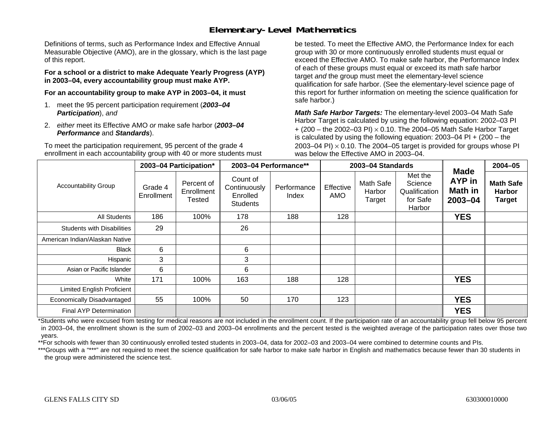### **Elementary-Level Mathematics**

Definitions of terms, such as Performance Index and Effective Annual Measurable Objective (AMO), are in the glossary, which is the last page of this report.

**For a school or a district to make Adequate Yearly Progress (AYP) in 2003–04, every accountability group must make AYP.** 

**For an accountability group to make AYP in 2003–04, it must** 

- 1. meet the 95 percent participation requirement (*2003–04 Participation*), *and*
- 2. *either* meet its Effective AMO *or* make safe harbor (*2003–04 Performance* and *Standards*).

To meet the participation requirement, 95 percent of the grade 4 enrollment in each accountability group with 40 or more students must be tested. To meet the Effective AMO, the Performance Index for each group with 30 or more continuously enrolled students must equal or exceed the Effective AMO. To make safe harbor, the Performance Index of each of these groups must equal or exceed its math safe harbor target *and* the group must meet the elementary-level science qualification for safe harbor. (See the elementary-level science page of this report for further information on meeting the science qualification for safe harbor.)

*Math Safe Harbor Targets:* The elementary-level 2003–04 Math Safe Harbor Target is calculated by using the following equation: 2002–03 PI + (200 – the 2002–03 PI) <sup>×</sup> 0.10. The 2004–05 Math Safe Harbor Target is calculated by using the following equation: 2003–04 PI + (200 – the 2003–04 PI)  $\times$  0.10. The 2004–05 target is provided for groups whose PI was below the Effective AMO in 2003–04.

|                                   |                       | 2003-04 Participation*             |                                                         | 2003-04 Performance** |                  | 2003-04 Standards             |                                                           | <b>Made</b>                  | 2004-05                                            |
|-----------------------------------|-----------------------|------------------------------------|---------------------------------------------------------|-----------------------|------------------|-------------------------------|-----------------------------------------------------------|------------------------------|----------------------------------------------------|
| <b>Accountability Group</b>       | Grade 4<br>Enrollment | Percent of<br>Enrollment<br>Tested | Count of<br>Continuously<br>Enrolled<br><b>Students</b> | Performance<br>Index  | Effective<br>AMO | Math Safe<br>Harbor<br>Target | Met the<br>Science<br>Qualification<br>for Safe<br>Harbor | AYP in<br>Math in<br>2003-04 | <b>Math Safe</b><br><b>Harbor</b><br><b>Target</b> |
| All Students                      | 186                   | 100%                               | 178                                                     | 188                   | 128              |                               |                                                           | <b>YES</b>                   |                                                    |
| <b>Students with Disabilities</b> | 29                    |                                    | 26                                                      |                       |                  |                               |                                                           |                              |                                                    |
| American Indian/Alaskan Native    |                       |                                    |                                                         |                       |                  |                               |                                                           |                              |                                                    |
| <b>Black</b>                      | 6                     |                                    | 6                                                       |                       |                  |                               |                                                           |                              |                                                    |
| Hispanic                          | 3                     |                                    | 3                                                       |                       |                  |                               |                                                           |                              |                                                    |
| Asian or Pacific Islander         | 6                     |                                    | 6                                                       |                       |                  |                               |                                                           |                              |                                                    |
| White                             | 171                   | 100%                               | 163                                                     | 188                   | 128              |                               |                                                           | <b>YES</b>                   |                                                    |
| <b>Limited English Proficient</b> |                       |                                    |                                                         |                       |                  |                               |                                                           |                              |                                                    |
| Economically Disadvantaged        | 55                    | 100%                               | 50                                                      | 170                   | 123              |                               |                                                           | <b>YES</b>                   |                                                    |
| Final AYP Determination           |                       |                                    |                                                         |                       |                  |                               |                                                           | <b>YES</b>                   |                                                    |

\*Students who were excused from testing for medical reasons are not included in the enrollment count. If the participation rate of an accountability group fell below 95 percent in 2003–04, the enrollment shown is the sum of 2002–03 and 2003–04 enrollments and the percent tested is the weighted average of the participation rates over those two years.

\*\*For schools with fewer than 30 continuously enrolled tested students in 2003–04, data for 2002–03 and 2003–04 were combined to determine counts and PIs.

\*\*\*Groups with a "\*\*\*" are not required to meet the science qualification for safe harbor to make safe harbor in English and mathematics because fewer than 30 students in the group were administered the science test.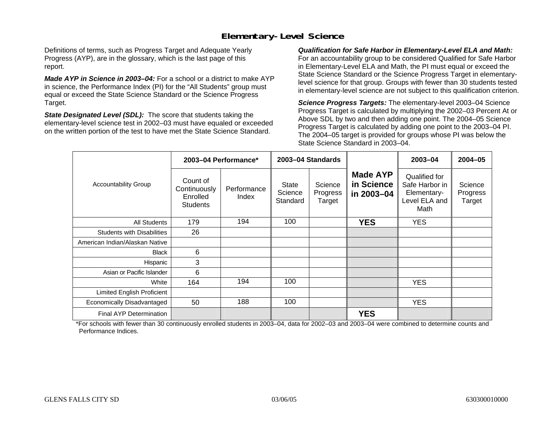## **Elementary-Level Science**

Definitions of terms, such as Progress Target and Adequate Yearly Progress (AYP), are in the glossary, which is the last page of this report.

*Made AYP in Science in 2003–04:* For a school or a district to make AYP in science, the Performance Index (PI) for the "All Students" group must equal or exceed the State Science Standard or the Science Progress Target.

*State Designated Level (SDL):* The score that students taking the elementary-level science test in 2002–03 must have equaled or exceeded on the written portion of the test to have met the State Science Standard.

*Qualification for Safe Harbor in Elementary-Level ELA and Math:* For an accountability group to be considered Qualified for Safe Harbor in Elementary-Level ELA and Math, the PI must equal or exceed the State Science Standard or the Science Progress Target in elementarylevel science for that group. Groups with fewer than 30 students tested in elementary-level science are not subject to this qualification criterion.

*Science Progress Targets:* The elementary-level 2003–04 Science Progress Target is calculated by multiplying the 2002–03 Percent At or Above SDL by two and then adding one point. The 2004–05 Science Progress Target is calculated by adding one point to the 2003–04 PI. The 2004–05 target is provided for groups whose PI was below the State Science Standard in 2003–04.

|                                   |                                                         | 2003-04 Performance* |                                     | 2003-04 Standards             |                                             | $2003 - 04$                                                             | $2004 - 05$                   |
|-----------------------------------|---------------------------------------------------------|----------------------|-------------------------------------|-------------------------------|---------------------------------------------|-------------------------------------------------------------------------|-------------------------------|
| <b>Accountability Group</b>       | Count of<br>Continuously<br>Enrolled<br><b>Students</b> | Performance<br>Index | <b>State</b><br>Science<br>Standard | Science<br>Progress<br>Target | <b>Made AYP</b><br>in Science<br>in 2003-04 | Qualified for<br>Safe Harbor in<br>Elementary-<br>Level ELA and<br>Math | Science<br>Progress<br>Target |
| <b>All Students</b>               | 179                                                     | 194                  | 100                                 |                               | <b>YES</b>                                  | <b>YES</b>                                                              |                               |
| <b>Students with Disabilities</b> | 26                                                      |                      |                                     |                               |                                             |                                                                         |                               |
| American Indian/Alaskan Native    |                                                         |                      |                                     |                               |                                             |                                                                         |                               |
| <b>Black</b>                      | 6                                                       |                      |                                     |                               |                                             |                                                                         |                               |
| Hispanic                          | 3                                                       |                      |                                     |                               |                                             |                                                                         |                               |
| Asian or Pacific Islander         | 6                                                       |                      |                                     |                               |                                             |                                                                         |                               |
| White                             | 164                                                     | 194                  | 100                                 |                               |                                             | <b>YES</b>                                                              |                               |
| Limited English Proficient        |                                                         |                      |                                     |                               |                                             |                                                                         |                               |
| Economically Disadvantaged        | 50                                                      | 188                  | 100                                 |                               |                                             | <b>YES</b>                                                              |                               |
| <b>Final AYP Determination</b>    |                                                         |                      |                                     |                               | <b>YES</b>                                  |                                                                         |                               |

\*For schools with fewer than 30 continuously enrolled students in 2003–04, data for 2002–03 and 2003–04 were combined to determine counts and Performance Indices.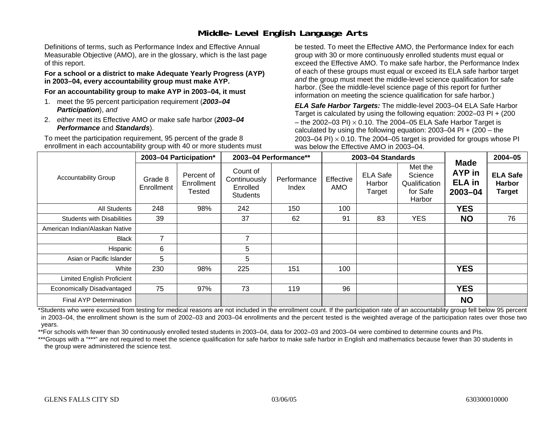## **Middle-Level English Language Arts**

Definitions of terms, such as Performance Index and Effective Annual Measurable Objective (AMO), are in the glossary, which is the last page of this report.

#### **For a school or a district to make Adequate Yearly Progress (AYP) in 2003–04, every accountability group must make AYP.**

**For an accountability group to make AYP in 2003–04, it must** 

- 1. meet the 95 percent participation requirement (*2003–04 Participation*), *and*
- 2. *either* meet its Effective AMO *or* make safe harbor (*2003–04 Performance* and *Standards*).

To meet the participation requirement, 95 percent of the grade 8 enrollment in each accountability group with 40 or more students must be tested. To meet the Effective AMO, the Performance Index for each group with 30 or more continuously enrolled students must equal or exceed the Effective AMO. To make safe harbor, the Performance Index of each of these groups must equal or exceed its ELA safe harbor target *and* the group must meet the middle-level science qualification for safe harbor. (See the middle-level science page of this report for further information on meeting the science qualification for safe harbor.)

*ELA Safe Harbor Targets:* The middle-level 2003–04 ELA Safe Harbor Target is calculated by using the following equation: 2002–03 PI + (200 – the 2002–03 PI)  $\times$  0.10. The 2004–05 ELA Safe Harbor Target is calculated by using the following equation:  $2003-04$  PI +  $(200 -$ the 2003–04 PI)  $\times$  0.10. The 2004–05 target is provided for groups whose PI was below the Effective AMO in 2003–04.

|                                   |                          | 2003-04 Participation*             |                                                         | 2003-04 Performance** |                  | 2003-04 Standards                   |                                                           | <b>Made</b>                                   | $2004 - 05$                                       |
|-----------------------------------|--------------------------|------------------------------------|---------------------------------------------------------|-----------------------|------------------|-------------------------------------|-----------------------------------------------------------|-----------------------------------------------|---------------------------------------------------|
| <b>Accountability Group</b>       | Grade 8<br>Enrollment    | Percent of<br>Enrollment<br>Tested | Count of<br>Continuously<br>Enrolled<br><b>Students</b> | Performance<br>Index  | Effective<br>AMO | <b>ELA Safe</b><br>Harbor<br>Target | Met the<br>Science<br>Qualification<br>for Safe<br>Harbor | <b>AYP</b> in<br><b>ELA</b> in<br>$2003 - 04$ | <b>ELA Safe</b><br><b>Harbor</b><br><b>Target</b> |
| All Students                      | 248                      | 98%                                | 242                                                     | 150                   | 100              |                                     |                                                           | <b>YES</b>                                    |                                                   |
| <b>Students with Disabilities</b> | 39                       |                                    | 37                                                      | 62                    | 91               | 83                                  | <b>YES</b>                                                | <b>NO</b>                                     | 76                                                |
| American Indian/Alaskan Native    |                          |                                    |                                                         |                       |                  |                                     |                                                           |                                               |                                                   |
| <b>Black</b>                      | $\overline{\phantom{a}}$ |                                    | 7                                                       |                       |                  |                                     |                                                           |                                               |                                                   |
| Hispanic                          | 6                        |                                    | 5                                                       |                       |                  |                                     |                                                           |                                               |                                                   |
| Asian or Pacific Islander         | 5                        |                                    | 5                                                       |                       |                  |                                     |                                                           |                                               |                                                   |
| White                             | 230                      | 98%                                | 225                                                     | 151                   | 100              |                                     |                                                           | <b>YES</b>                                    |                                                   |
| Limited English Proficient        |                          |                                    |                                                         |                       |                  |                                     |                                                           |                                               |                                                   |
| Economically Disadvantaged        | 75                       | 97%                                | 73                                                      | 119                   | 96               |                                     |                                                           | <b>YES</b>                                    |                                                   |
| <b>Final AYP Determination</b>    |                          |                                    |                                                         |                       |                  |                                     |                                                           | <b>NO</b>                                     |                                                   |

\*Students who were excused from testing for medical reasons are not included in the enrollment count. If the participation rate of an accountability group fell below 95 percent in 2003–04, the enrollment shown is the sum of 2002–03 and 2003–04 enrollments and the percent tested is the weighted average of the participation rates over those two years.

\*\*For schools with fewer than 30 continuously enrolled tested students in 2003–04, data for 2002–03 and 2003–04 were combined to determine counts and PIs.

\*\*\*Groups with a "\*\*\*" are not required to meet the science qualification for safe harbor to make safe harbor in English and mathematics because fewer than 30 students in the group were administered the science test.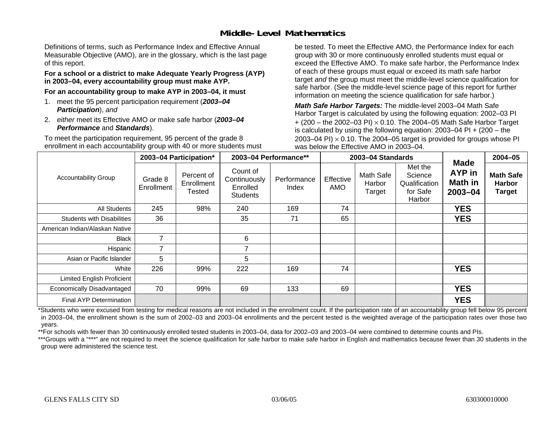## **Middle-Level Mathematics**

Definitions of terms, such as Performance Index and Effective Annual Measurable Objective (AMO), are in the glossary, which is the last page of this report.

#### **For a school or a district to make Adequate Yearly Progress (AYP) in 2003–04, every accountability group must make AYP.**

**For an accountability group to make AYP in 2003–04, it must** 

- 1. meet the 95 percent participation requirement (*2003–04 Participation*), *and*
- 2. *either* meet its Effective AMO *or* make safe harbor (*2003–04 Performance* and *Standards*).

To meet the participation requirement, 95 percent of the grade 8 enrollment in each accountability group with 40 or more students must be tested. To meet the Effective AMO, the Performance Index for each group with 30 or more continuously enrolled students must equal or exceed the Effective AMO. To make safe harbor, the Performance Index of each of these groups must equal or exceed its math safe harbor target *and* the group must meet the middle-level science qualification for safe harbor. (See the middle-level science page of this report for further information on meeting the science qualification for safe harbor.)

*Math Safe Harbor Targets:* The middle-level 2003–04 Math Safe Harbor Target is calculated by using the following equation: 2002–03 PI + (200 – the 2002–03 PI) <sup>×</sup> 0.10. The 2004–05 Math Safe Harbor Target is calculated by using the following equation: 2003–04 PI + (200 – the 2003–04 PI)  $\times$  0.10. The 2004–05 target is provided for groups whose PI was below the Effective AMO in 2003–04.

|                                   |                       | 2003-04 Participation*                    | 2003-04 Performance**                                   |                      |                         | 2003-04 Standards             |                                                           | <b>Made</b>                         | $2004 - 05$                                        |
|-----------------------------------|-----------------------|-------------------------------------------|---------------------------------------------------------|----------------------|-------------------------|-------------------------------|-----------------------------------------------------------|-------------------------------------|----------------------------------------------------|
| <b>Accountability Group</b>       | Grade 8<br>Enrollment | Percent of<br>Enrollment<br><b>Tested</b> | Count of<br>Continuously<br>Enrolled<br><b>Students</b> | Performance<br>Index | Effective<br><b>AMO</b> | Math Safe<br>Harbor<br>Target | Met the<br>Science<br>Qualification<br>for Safe<br>Harbor | <b>AYP</b> in<br>Math in<br>2003-04 | <b>Math Safe</b><br><b>Harbor</b><br><b>Target</b> |
| All Students                      | 245                   | 98%                                       | 240                                                     | 169                  | 74                      |                               |                                                           | <b>YES</b>                          |                                                    |
| <b>Students with Disabilities</b> | 36                    |                                           | 35                                                      | 71                   | 65                      |                               |                                                           | <b>YES</b>                          |                                                    |
| American Indian/Alaskan Native    |                       |                                           |                                                         |                      |                         |                               |                                                           |                                     |                                                    |
| <b>Black</b>                      | 7                     |                                           | 6                                                       |                      |                         |                               |                                                           |                                     |                                                    |
| Hispanic                          | 7                     |                                           | $\overline{ }$                                          |                      |                         |                               |                                                           |                                     |                                                    |
| Asian or Pacific Islander         | 5                     |                                           | 5                                                       |                      |                         |                               |                                                           |                                     |                                                    |
| White                             | 226                   | 99%                                       | 222                                                     | 169                  | 74                      |                               |                                                           | <b>YES</b>                          |                                                    |
| <b>Limited English Proficient</b> |                       |                                           |                                                         |                      |                         |                               |                                                           |                                     |                                                    |
| Economically Disadvantaged        | 70                    | 99%                                       | 69                                                      | 133                  | 69                      |                               |                                                           | <b>YES</b>                          |                                                    |
| <b>Final AYP Determination</b>    |                       |                                           |                                                         |                      |                         |                               |                                                           | <b>YES</b>                          |                                                    |

\*Students who were excused from testing for medical reasons are not included in the enrollment count. If the participation rate of an accountability group fell below 95 percent in 2003–04, the enrollment shown is the sum of 2002–03 and 2003–04 enrollments and the percent tested is the weighted average of the participation rates over those two years.

\*\*For schools with fewer than 30 continuously enrolled tested students in 2003–04, data for 2002–03 and 2003–04 were combined to determine counts and PIs.

\*\*\*Groups with a "\*\*\*" are not required to meet the science qualification for safe harbor to make safe harbor in English and mathematics because fewer than 30 students in the group were administered the science test.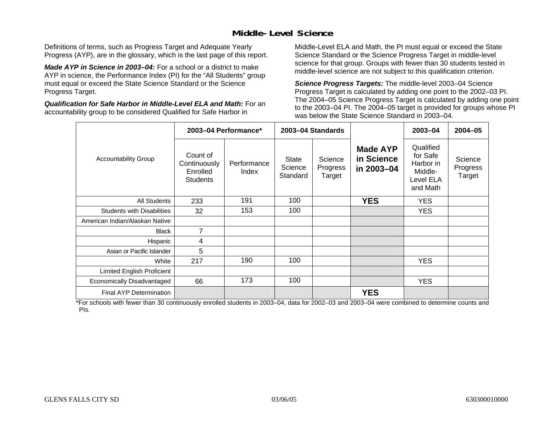## **Middle-Level Science**

Definitions of terms, such as Progress Target and Adequate Yearly Progress (AYP), are in the glossary, which is the last page of this report.

*Made AYP in Science in 2003–04:* For a school or a district to make AYP in science, the Performance Index (PI) for the "All Students" group must equal or exceed the State Science Standard or the Science Progress Target.

*Qualification for Safe Harbor in Middle-Level ELA and Math:* For an accountability group to be considered Qualified for Safe Harbor in

Middle-Level ELA and Math, the PI must equal or exceed the State Science Standard or the Science Progress Target in middle-level science for that group. Groups with fewer than 30 students tested in middle-level science are not subject to this qualification criterion.

*Science Progress Targets:* The middle-level 2003–04 Science Progress Target is calculated by adding one point to the 2002–03 PI. The 2004–05 Science Progress Target is calculated by adding one point to the 2003–04 PI. The 2004–05 target is provided for groups whose PI was below the State Science Standard in 2003–04.

|                                   |                                                         | 2003-04 Performance* |                                     | 2003-04 Standards             |                                             | 2003-04                                                                | $2004 - 05$                   |
|-----------------------------------|---------------------------------------------------------|----------------------|-------------------------------------|-------------------------------|---------------------------------------------|------------------------------------------------------------------------|-------------------------------|
| <b>Accountability Group</b>       | Count of<br>Continuously<br>Enrolled<br><b>Students</b> | Performance<br>Index | <b>State</b><br>Science<br>Standard | Science<br>Progress<br>Target | <b>Made AYP</b><br>in Science<br>in 2003-04 | Qualified<br>for Safe<br>Harbor in<br>Middle-<br>Level ELA<br>and Math | Science<br>Progress<br>Target |
| <b>All Students</b>               | 233                                                     | 191                  | 100                                 |                               | <b>YES</b>                                  | <b>YES</b>                                                             |                               |
| <b>Students with Disabilities</b> | 32                                                      | 153                  | 100                                 |                               |                                             | <b>YES</b>                                                             |                               |
| American Indian/Alaskan Native    |                                                         |                      |                                     |                               |                                             |                                                                        |                               |
| <b>Black</b>                      | $\overline{7}$                                          |                      |                                     |                               |                                             |                                                                        |                               |
| Hispanic                          | 4                                                       |                      |                                     |                               |                                             |                                                                        |                               |
| Asian or Pacific Islander         | 5                                                       |                      |                                     |                               |                                             |                                                                        |                               |
| White                             | 217                                                     | 190                  | 100                                 |                               |                                             | <b>YES</b>                                                             |                               |
| <b>Limited English Proficient</b> |                                                         |                      |                                     |                               |                                             |                                                                        |                               |
| Economically Disadvantaged        | 66                                                      | 173                  | 100                                 |                               |                                             | <b>YES</b>                                                             |                               |
| Final AYP Determination           |                                                         |                      |                                     |                               | <b>YES</b>                                  |                                                                        |                               |

\*For schools with fewer than 30 continuously enrolled students in 2003–04, data for 2002–03 and 2003–04 were combined to determine counts and PIs.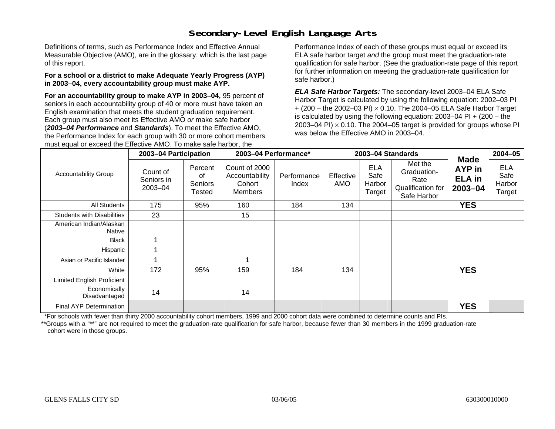## **Secondary-Level English Language Arts**

Definitions of terms, such as Performance Index and Effective Annual Measurable Objective (AMO), are in the glossary, which is the last page of this report.

#### **For a school or a district to make Adequate Yearly Progress (AYP) in 2003–04, every accountability group must make AYP.**

**For an accountability group to make AYP in 2003–04,** 95 percent of seniors in each accountability group of 40 or more must have taken an English examination that meets the student graduation requirement. Each group must also meet its Effective AMO *or* make safe harbor (*2003–04 Performance* and *Standards*). To meet the Effective AMO, the Performance Index for each group with 30 or more cohort members must equal or exceed the Effective AMO. To make safe harbor, the

Performance Index of each of these groups must equal or exceed its ELA safe harbor target *and* the group must meet the graduation-rate qualification for safe harbor. (See the graduation-rate page of this report for further information on meeting the graduation-rate qualification for safe harbor.)

*ELA Safe Harbor Targets:* The secondary-level 2003–04 ELA Safe Harbor Target is calculated by using the following equation: 2002–03 PI + (200 – the 2002–03 PI) <sup>×</sup> 0.10. The 2004–05 ELA Safe Harbor Target is calculated by using the following equation: 2003–04 PI + (200 – the 2003–04 PI)  $\times$  0.10. The 2004–05 target is provided for groups whose PI was below the Effective AMO in 2003–04.

|                                   | 2003-04 Participation             |                                    | 2003-04 Performance*                                        |                      |                  | 2003-04 Standards                      |                                                                    |                                                   | $2004 - 05$                            |
|-----------------------------------|-----------------------------------|------------------------------------|-------------------------------------------------------------|----------------------|------------------|----------------------------------------|--------------------------------------------------------------------|---------------------------------------------------|----------------------------------------|
| <b>Accountability Group</b>       | Count of<br>Seniors in<br>2003-04 | Percent<br>οf<br>Seniors<br>Tested | Count of 2000<br>Accountability<br>Cohort<br><b>Members</b> | Performance<br>Index | Effective<br>AMO | <b>ELA</b><br>Safe<br>Harbor<br>Target | Met the<br>Graduation-<br>Rate<br>Qualification for<br>Safe Harbor | <b>Made</b><br>AYP in<br><b>ELA</b> in<br>2003-04 | <b>ELA</b><br>Safe<br>Harbor<br>Target |
| <b>All Students</b>               | 175                               | 95%                                | 160                                                         | 184                  | 134              |                                        |                                                                    | <b>YES</b>                                        |                                        |
| <b>Students with Disabilities</b> | 23                                |                                    | 15                                                          |                      |                  |                                        |                                                                    |                                                   |                                        |
| American Indian/Alaskan<br>Native |                                   |                                    |                                                             |                      |                  |                                        |                                                                    |                                                   |                                        |
| <b>Black</b>                      |                                   |                                    |                                                             |                      |                  |                                        |                                                                    |                                                   |                                        |
| Hispanic                          |                                   |                                    |                                                             |                      |                  |                                        |                                                                    |                                                   |                                        |
| Asian or Pacific Islander         |                                   |                                    |                                                             |                      |                  |                                        |                                                                    |                                                   |                                        |
| White                             | 172                               | 95%                                | 159                                                         | 184                  | 134              |                                        |                                                                    | <b>YES</b>                                        |                                        |
| <b>Limited English Proficient</b> |                                   |                                    |                                                             |                      |                  |                                        |                                                                    |                                                   |                                        |
| Economically<br>Disadvantaged     | 14                                |                                    | 14                                                          |                      |                  |                                        |                                                                    |                                                   |                                        |
| Final AYP Determination           |                                   |                                    |                                                             |                      |                  |                                        |                                                                    | <b>YES</b>                                        |                                        |

\*For schools with fewer than thirty 2000 accountability cohort members, 1999 and 2000 cohort data were combined to determine counts and PIs.

\*\*Groups with a "\*\*" are not required to meet the graduation-rate qualification for safe harbor, because fewer than 30 members in the 1999 graduation-rate cohort were in those groups.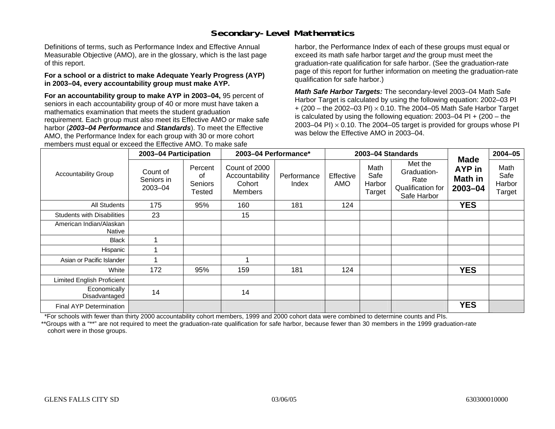## **Secondary-Level Mathematics**

Definitions of terms, such as Performance Index and Effective Annual Measurable Objective (AMO), are in the glossary, which is the last page of this report.

#### **For a school or a district to make Adequate Yearly Progress (AYP) in 2003–04, every accountability group must make AYP.**

**For an accountability group to make AYP in 2003–04,** 95 percent of seniors in each accountability group of 40 or more must have taken a mathematics examination that meets the student graduation requirement. Each group must also meet its Effective AMO *or* make safe harbor (*2003–04 Performance* and *Standards*). To meet the Effective AMO, the Performance Index for each group with 30 or more cohort members must equal or exceed the Effective AMO. To make safe

harbor, the Performance Index of each of these groups must equal or exceed its math safe harbor target *and* the group must meet the graduation-rate qualification for safe harbor. (See the graduation-rate page of this report for further information on meeting the graduation-rate qualification for safe harbor.)

*Math Safe Harbor Targets:* The secondary-level 2003–04 Math Safe Harbor Target is calculated by using the following equation: 2002–03 PI + (200 – the 2002–03 PI) <sup>×</sup> 0.10. The 2004–05 Math Safe Harbor Target is calculated by using the following equation: 2003–04 PI + (200 – the 2003–04 PI)  $\times$  0.10. The 2004–05 target is provided for groups whose PI was below the Effective AMO in 2003–04.

|                                   | 2003-04 Participation             |                                    | 2003-04 Performance*                                        |                      |                  | 2003-04 Standards                |                                                                    |                                                 | $2004 - 05$                      |
|-----------------------------------|-----------------------------------|------------------------------------|-------------------------------------------------------------|----------------------|------------------|----------------------------------|--------------------------------------------------------------------|-------------------------------------------------|----------------------------------|
| <b>Accountability Group</b>       | Count of<br>Seniors in<br>2003-04 | Percent<br>οf<br>Seniors<br>Tested | Count of 2000<br>Accountability<br>Cohort<br><b>Members</b> | Performance<br>Index | Effective<br>AMO | Math<br>Safe<br>Harbor<br>Target | Met the<br>Graduation-<br>Rate<br>Qualification for<br>Safe Harbor | <b>Made</b><br>AYP in<br>Math in<br>$2003 - 04$ | Math<br>Safe<br>Harbor<br>Target |
| <b>All Students</b>               | 175                               | 95%                                | 160                                                         | 181                  | 124              |                                  |                                                                    | <b>YES</b>                                      |                                  |
| <b>Students with Disabilities</b> | 23                                |                                    | 15                                                          |                      |                  |                                  |                                                                    |                                                 |                                  |
| American Indian/Alaskan<br>Native |                                   |                                    |                                                             |                      |                  |                                  |                                                                    |                                                 |                                  |
| <b>Black</b>                      |                                   |                                    |                                                             |                      |                  |                                  |                                                                    |                                                 |                                  |
| Hispanic                          |                                   |                                    |                                                             |                      |                  |                                  |                                                                    |                                                 |                                  |
| Asian or Pacific Islander         |                                   |                                    |                                                             |                      |                  |                                  |                                                                    |                                                 |                                  |
| White                             | 172                               | 95%                                | 159                                                         | 181                  | 124              |                                  |                                                                    | <b>YES</b>                                      |                                  |
| Limited English Proficient        |                                   |                                    |                                                             |                      |                  |                                  |                                                                    |                                                 |                                  |
| Economically<br>Disadvantaged     | 14                                |                                    | 14                                                          |                      |                  |                                  |                                                                    |                                                 |                                  |
| Final AYP Determination           |                                   |                                    |                                                             |                      |                  |                                  |                                                                    | <b>YES</b>                                      |                                  |

\*For schools with fewer than thirty 2000 accountability cohort members, 1999 and 2000 cohort data were combined to determine counts and PIs.

\*\*Groups with a "\*\*" are not required to meet the graduation-rate qualification for safe harbor, because fewer than 30 members in the 1999 graduation-rate cohort were in those groups.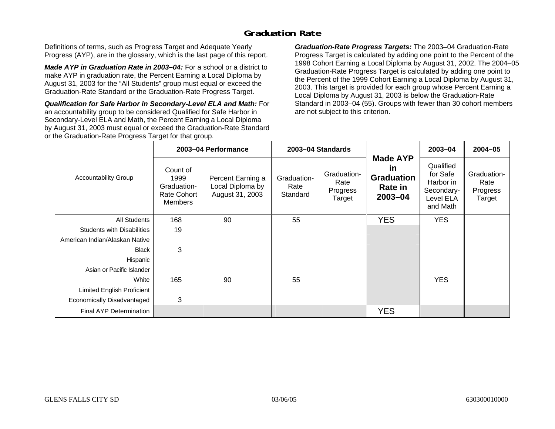### **Graduation Rate**

Definitions of terms, such as Progress Target and Adequate Yearly Progress (AYP), are in the glossary, which is the last page of this report.

*Made AYP in Graduation Rate in 2003–04:* For a school or a district to make AYP in graduation rate, the Percent Earning a Local Diploma by August 31, 2003 for the "All Students" group must equal or exceed the Graduation-Rate Standard or the Graduation-Rate Progress Target.

*Qualification for Safe Harbor in Secondary-Level ELA and Math:* For an accountability group to be considered Qualified for Safe Harbor in Secondary-Level ELA and Math, the Percent Earning a Local Diploma by August 31, 2003 must equal or exceed the Graduation-Rate Standard or the Graduation-Rate Progress Target for that group.

*Graduation-Rate Progress Targets:* The 2003–04 Graduation-Rate Progress Target is calculated by adding one point to the Percent of the 1998 Cohort Earning a Local Diploma by August 31, 2002. The 2004–05 Graduation-Rate Progress Target is calculated by adding one point to the Percent of the 1999 Cohort Earning a Local Diploma by August 31, 2003. This target is provided for each group whose Percent Earning a Local Diploma by August 31, 2003 is below the Graduation-Rate Standard in 2003–04 (55). Groups with fewer than 30 cohort members are not subject to this criterion.

|                                   |                                                                  | 2003-04 Performance                                      |                                 | 2003-04 Standards                         |                                                                         | 2003-04                                                                   | $2004 - 05$                               |
|-----------------------------------|------------------------------------------------------------------|----------------------------------------------------------|---------------------------------|-------------------------------------------|-------------------------------------------------------------------------|---------------------------------------------------------------------------|-------------------------------------------|
| <b>Accountability Group</b>       | Count of<br>1999<br>Graduation-<br>Rate Cohort<br><b>Members</b> | Percent Earning a<br>Local Diploma by<br>August 31, 2003 | Graduation-<br>Rate<br>Standard | Graduation-<br>Rate<br>Progress<br>Target | <b>Made AYP</b><br><u>in</u><br><b>Graduation</b><br>Rate in<br>2003-04 | Qualified<br>for Safe<br>Harbor in<br>Secondary-<br>Level ELA<br>and Math | Graduation-<br>Rate<br>Progress<br>Target |
| All Students                      | 168                                                              | 90                                                       | 55                              |                                           | <b>YES</b>                                                              | <b>YES</b>                                                                |                                           |
| <b>Students with Disabilities</b> | 19                                                               |                                                          |                                 |                                           |                                                                         |                                                                           |                                           |
| American Indian/Alaskan Native    |                                                                  |                                                          |                                 |                                           |                                                                         |                                                                           |                                           |
| <b>Black</b>                      | 3                                                                |                                                          |                                 |                                           |                                                                         |                                                                           |                                           |
| Hispanic                          |                                                                  |                                                          |                                 |                                           |                                                                         |                                                                           |                                           |
| Asian or Pacific Islander         |                                                                  |                                                          |                                 |                                           |                                                                         |                                                                           |                                           |
| White                             | 165                                                              | 90                                                       | 55                              |                                           |                                                                         | <b>YES</b>                                                                |                                           |
| Limited English Proficient        |                                                                  |                                                          |                                 |                                           |                                                                         |                                                                           |                                           |
| Economically Disadvantaged        | 3                                                                |                                                          |                                 |                                           |                                                                         |                                                                           |                                           |
| <b>Final AYP Determination</b>    |                                                                  |                                                          |                                 |                                           | <b>YES</b>                                                              |                                                                           |                                           |